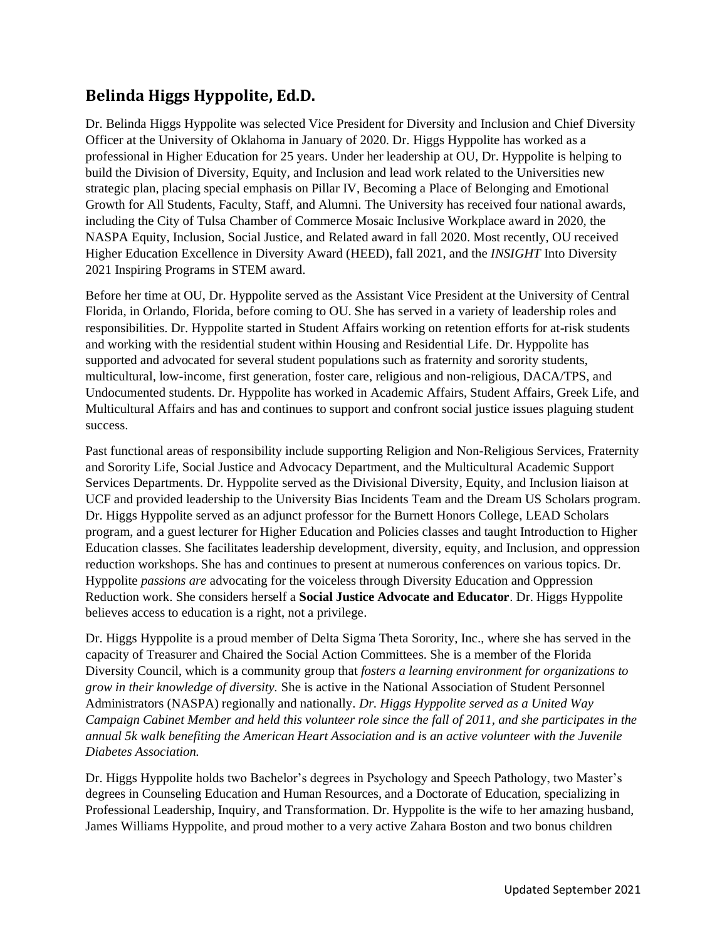## **Belinda Higgs Hyppolite, Ed.D.**

Dr. Belinda Higgs Hyppolite was selected Vice President for Diversity and Inclusion and Chief Diversity Officer at the University of Oklahoma in January of 2020. Dr. Higgs Hyppolite has worked as a professional in Higher Education for 25 years. Under her leadership at OU, Dr. Hyppolite is helping to build the Division of Diversity, Equity, and Inclusion and lead work related to the Universities new strategic plan, placing special emphasis on Pillar IV, Becoming a Place of Belonging and Emotional Growth for All Students, Faculty, Staff, and Alumni. The University has received four national awards, including the City of Tulsa Chamber of Commerce Mosaic Inclusive Workplace award in 2020, the NASPA Equity, Inclusion, Social Justice, and Related award in fall 2020. Most recently, OU received Higher Education Excellence in Diversity Award (HEED), fall 2021, and the *INSIGHT* Into Diversity 2021 Inspiring Programs in STEM award.

Before her time at OU, Dr. Hyppolite served as the Assistant Vice President at the University of Central Florida, in Orlando, Florida, before coming to OU. She has served in a variety of leadership roles and responsibilities. Dr. Hyppolite started in Student Affairs working on retention efforts for at-risk students and working with the residential student within Housing and Residential Life. Dr. Hyppolite has supported and advocated for several student populations such as fraternity and sorority students, multicultural, low-income, first generation, foster care, religious and non-religious, DACA/TPS, and Undocumented students. Dr. Hyppolite has worked in Academic Affairs, Student Affairs, Greek Life, and Multicultural Affairs and has and continues to support and confront social justice issues plaguing student success.

Past functional areas of responsibility include supporting Religion and Non-Religious Services, Fraternity and Sorority Life, Social Justice and Advocacy Department, and the Multicultural Academic Support Services Departments. Dr. Hyppolite served as the Divisional Diversity, Equity, and Inclusion liaison at UCF and provided leadership to the University Bias Incidents Team and the Dream US Scholars program. Dr. Higgs Hyppolite served as an adjunct professor for the Burnett Honors College, LEAD Scholars program, and a guest lecturer for Higher Education and Policies classes and taught Introduction to Higher Education classes. She facilitates leadership development, diversity, equity, and Inclusion, and oppression reduction workshops. She has and continues to present at numerous conferences on various topics. Dr. Hyppolite *passions are* advocating for the voiceless through Diversity Education and Oppression Reduction work. She considers herself a **Social Justice Advocate and Educator**. Dr. Higgs Hyppolite believes access to education is a right, not a privilege.

Dr. Higgs Hyppolite is a proud member of Delta Sigma Theta Sorority, Inc., where she has served in the capacity of Treasurer and Chaired the Social Action Committees. She is a member of the Florida Diversity Council, which is a community group that *fosters a learning environment for organizations to grow in their knowledge of diversity.* She is active in the National Association of Student Personnel Administrators (NASPA) regionally and nationally. *Dr. Higgs Hyppolite served as a United Way Campaign Cabinet Member and held this volunteer role since the fall of 2011, and she participates in the annual 5k walk benefiting the American Heart Association and is an active volunteer with the Juvenile Diabetes Association.* 

Dr. Higgs Hyppolite holds two Bachelor's degrees in Psychology and Speech Pathology, two Master's degrees in Counseling Education and Human Resources, and a Doctorate of Education, specializing in Professional Leadership, Inquiry, and Transformation. Dr. Hyppolite is the wife to her amazing husband, James Williams Hyppolite, and proud mother to a very active Zahara Boston and two bonus children